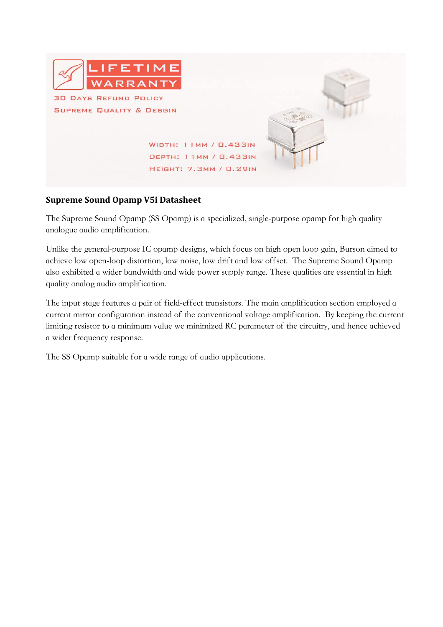

## **Supreme Sound Opamp V5i Datasheet**

The Supreme Sound Opamp (SS Opamp) is a specialized, single-purpose opamp for high quality analogue audio amplification.

Unlike the general-purpose IC opamp designs, which focus on high open loop gain, Burson aimed to achieve low open-loop distortion, low noise, low drift and low offset. The Supreme Sound Opamp also exhibited a wider bandwidth and wide power supply range. These qualities are essential in high quality analog audio amplification.

The input stage features a pair of field-effect transistors. The main amplification section employed a current mirror configuration instead of the conventional voltage amplification. By keeping the current limiting resistor to a minimum value we minimized RC parameter of the circuitry, and hence achieved a wider frequency response.

The SS Opamp suitable for a wide range of audio applications.